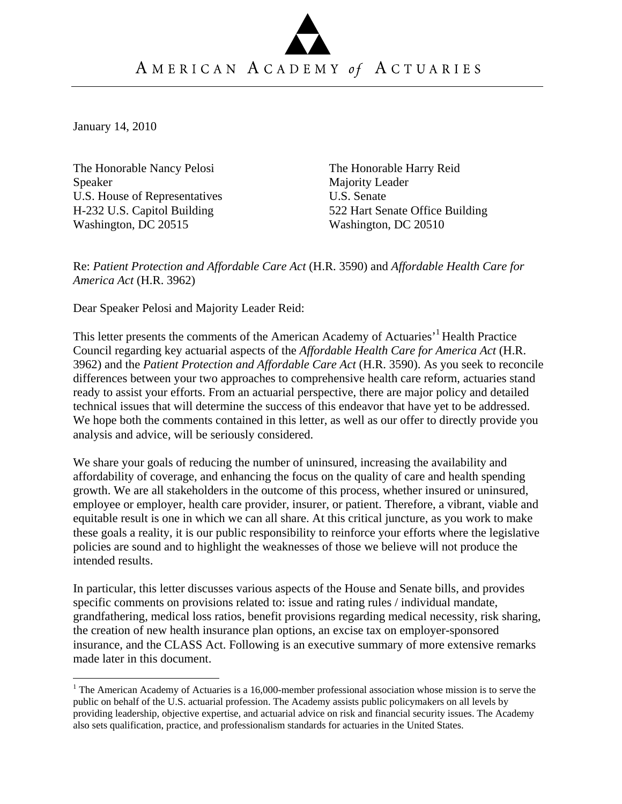January 14, 2010

 $\overline{a}$ 

The Honorable Nancy Pelosi Speaker U.S. House of Representatives H-232 U.S. Capitol Building Washington, DC 20515

The Honorable Harry Reid Majority Leader U.S. Senate 522 Hart Senate Office Building Washington, DC 20510

Re: *Patient Protection and Affordable Care Act* (H.R. 3590) and *Affordable Health Care for America Act* (H.R. 3962)

Dear Speaker Pelosi and Majority Leader Reid:

This letter presents the comments of the American Academy of Actuaries<sup>3</sup> Health Practice Council regarding key actuarial aspects of the *Affordable Health Care for America Act* (H.R. 3962) and the *Patient Protection and Affordable Care Act* (H.R. 3590). As you seek to reconcile differences between your two approaches to comprehensive health care reform, actuaries stand ready to assist your efforts. From an actuarial perspective, there are major policy and detailed technical issues that will determine the success of this endeavor that have yet to be addressed. We hope both the comments contained in this letter, as well as our offer to directly provide you analysis and advice, will be seriously considered.

We share your goals of reducing the number of uninsured, increasing the availability and affordability of coverage, and enhancing the focus on the quality of care and health spending growth. We are all stakeholders in the outcome of this process, whether insured or uninsured, employee or employer, health care provider, insurer, or patient. Therefore, a vibrant, viable and equitable result is one in which we can all share. At this critical juncture, as you work to make these goals a reality, it is our public responsibility to reinforce your efforts where the legislative policies are sound and to highlight the weaknesses of those we believe will not produce the intended results.

In particular, this letter discusses various aspects of the House and Senate bills, and provides specific comments on provisions related to: issue and rating rules / individual mandate, grandfathering, medical loss ratios, benefit provisions regarding medical necessity, risk sharing, the creation of new health insurance plan options, an excise tax on employer-sponsored insurance, and the CLASS Act. Following is an executive summary of more extensive remarks made later in this document.

<sup>&</sup>lt;sup>1</sup> The American Academy of Actuaries is a 16,000-member professional association whose mission is to serve the public on behalf of the U.S. actuarial profession. The Academy assists public policymakers on all levels by providing leadership, objective expertise, and actuarial advice on risk and financial security issues. The Academy also sets qualification, practice, and professionalism standards for actuaries in the United States.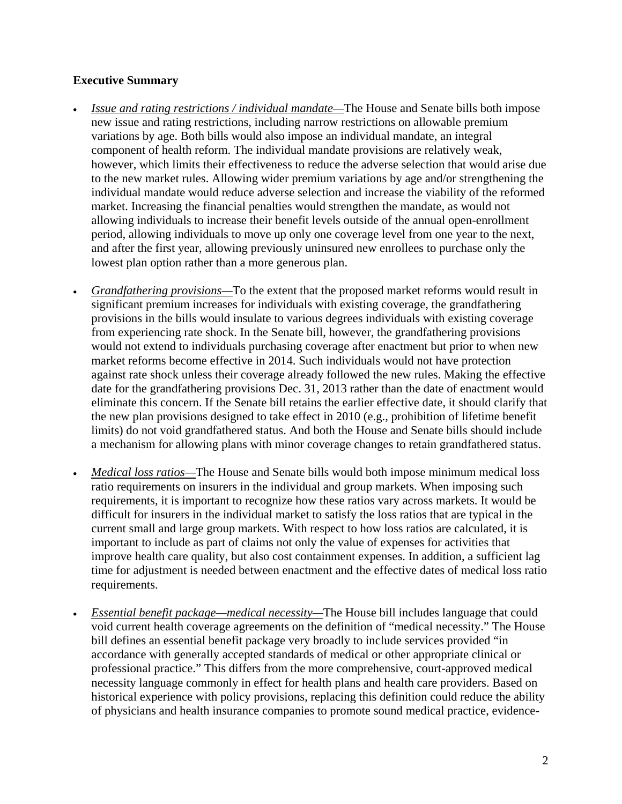# **Executive Summary**

- *Issue and rating restrictions / individual mandate—*The House and Senate bills both impose new issue and rating restrictions, including narrow restrictions on allowable premium variations by age. Both bills would also impose an individual mandate, an integral component of health reform. The individual mandate provisions are relatively weak, however, which limits their effectiveness to reduce the adverse selection that would arise due to the new market rules. Allowing wider premium variations by age and/or strengthening the individual mandate would reduce adverse selection and increase the viability of the reformed market. Increasing the financial penalties would strengthen the mandate, as would not allowing individuals to increase their benefit levels outside of the annual open-enrollment period, allowing individuals to move up only one coverage level from one year to the next, and after the first year, allowing previously uninsured new enrollees to purchase only the lowest plan option rather than a more generous plan.
- *Grandfathering provisions*—To the extent that the proposed market reforms would result in significant premium increases for individuals with existing coverage, the grandfathering provisions in the bills would insulate to various degrees individuals with existing coverage from experiencing rate shock. In the Senate bill, however, the grandfathering provisions would not extend to individuals purchasing coverage after enactment but prior to when new market reforms become effective in 2014. Such individuals would not have protection against rate shock unless their coverage already followed the new rules. Making the effective date for the grandfathering provisions Dec. 31, 2013 rather than the date of enactment would eliminate this concern. If the Senate bill retains the earlier effective date, it should clarify that the new plan provisions designed to take effect in 2010 (e.g., prohibition of lifetime benefit limits) do not void grandfathered status. And both the House and Senate bills should include a mechanism for allowing plans with minor coverage changes to retain grandfathered status.
- *Medical loss ratios—*The House and Senate bills would both impose minimum medical loss ratio requirements on insurers in the individual and group markets. When imposing such requirements, it is important to recognize how these ratios vary across markets. It would be difficult for insurers in the individual market to satisfy the loss ratios that are typical in the current small and large group markets. With respect to how loss ratios are calculated, it is important to include as part of claims not only the value of expenses for activities that improve health care quality, but also cost containment expenses. In addition, a sufficient lag time for adjustment is needed between enactment and the effective dates of medical loss ratio requirements.
- *Essential benefit package—medical necessity—*The House bill includes language that could void current health coverage agreements on the definition of "medical necessity." The House bill defines an essential benefit package very broadly to include services provided "in accordance with generally accepted standards of medical or other appropriate clinical or professional practice." This differs from the more comprehensive, court-approved medical necessity language commonly in effect for health plans and health care providers. Based on historical experience with policy provisions, replacing this definition could reduce the ability of physicians and health insurance companies to promote sound medical practice, evidence-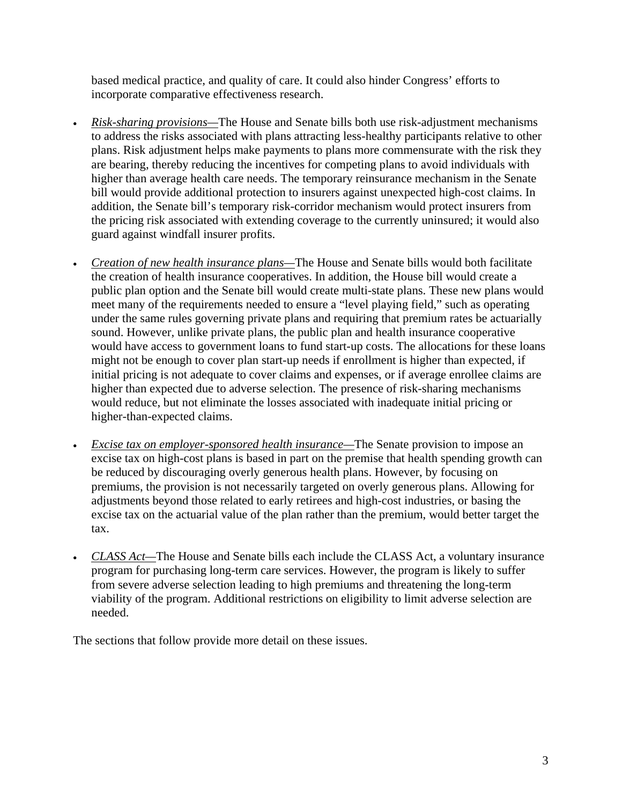based medical practice, and quality of care. It could also hinder Congress' efforts to incorporate comparative effectiveness research.

- *Risk-sharing provisions—*The House and Senate bills both use risk-adjustment mechanisms to address the risks associated with plans attracting less-healthy participants relative to other plans. Risk adjustment helps make payments to plans more commensurate with the risk they are bearing, thereby reducing the incentives for competing plans to avoid individuals with higher than average health care needs. The temporary reinsurance mechanism in the Senate bill would provide additional protection to insurers against unexpected high-cost claims. In addition, the Senate bill's temporary risk-corridor mechanism would protect insurers from the pricing risk associated with extending coverage to the currently uninsured; it would also guard against windfall insurer profits.
- *Creation of new health insurance plans—*The House and Senate bills would both facilitate the creation of health insurance cooperatives. In addition, the House bill would create a public plan option and the Senate bill would create multi-state plans. These new plans would meet many of the requirements needed to ensure a "level playing field," such as operating under the same rules governing private plans and requiring that premium rates be actuarially sound. However, unlike private plans, the public plan and health insurance cooperative would have access to government loans to fund start-up costs. The allocations for these loans might not be enough to cover plan start-up needs if enrollment is higher than expected, if initial pricing is not adequate to cover claims and expenses, or if average enrollee claims are higher than expected due to adverse selection. The presence of risk-sharing mechanisms would reduce, but not eliminate the losses associated with inadequate initial pricing or higher-than-expected claims.
- *Excise tax on employer-sponsored health insurance—*The Senate provision to impose an excise tax on high-cost plans is based in part on the premise that health spending growth can be reduced by discouraging overly generous health plans. However, by focusing on premiums, the provision is not necessarily targeted on overly generous plans. Allowing for adjustments beyond those related to early retirees and high-cost industries, or basing the excise tax on the actuarial value of the plan rather than the premium, would better target the tax.
- *CLASS Act—*The House and Senate bills each include the CLASS Act, a voluntary insurance program for purchasing long-term care services. However, the program is likely to suffer from severe adverse selection leading to high premiums and threatening the long-term viability of the program. Additional restrictions on eligibility to limit adverse selection are needed.

The sections that follow provide more detail on these issues.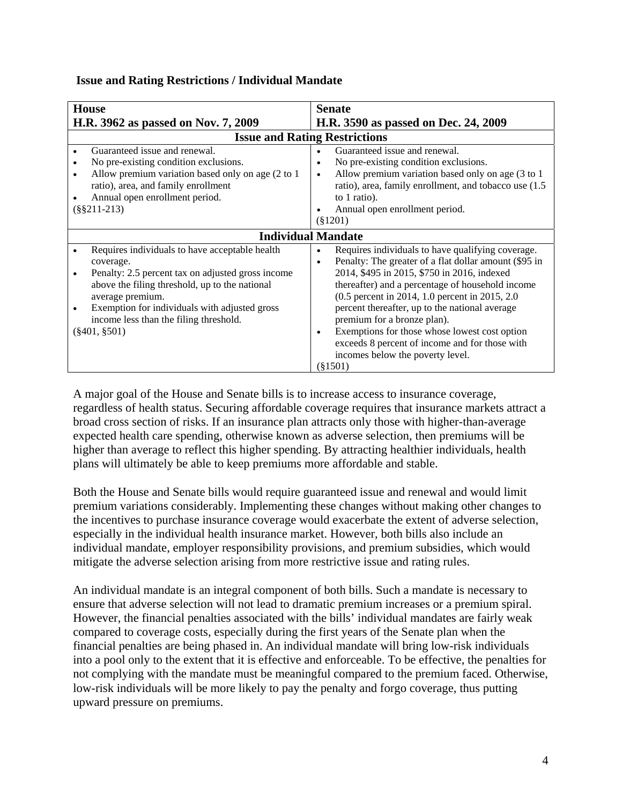| <b>House</b>                                                                                                                                                                                                                                                                                          | <b>Senate</b>                                                                                                                                                                                                                                                                                                                                                                                                                                                                                                                    |  |
|-------------------------------------------------------------------------------------------------------------------------------------------------------------------------------------------------------------------------------------------------------------------------------------------------------|----------------------------------------------------------------------------------------------------------------------------------------------------------------------------------------------------------------------------------------------------------------------------------------------------------------------------------------------------------------------------------------------------------------------------------------------------------------------------------------------------------------------------------|--|
| H.R. 3962 as passed on Nov. 7, 2009                                                                                                                                                                                                                                                                   | H.R. 3590 as passed on Dec. 24, 2009                                                                                                                                                                                                                                                                                                                                                                                                                                                                                             |  |
| <b>Issue and Rating Restrictions</b>                                                                                                                                                                                                                                                                  |                                                                                                                                                                                                                                                                                                                                                                                                                                                                                                                                  |  |
| Guaranteed issue and renewal.<br>No pre-existing condition exclusions.<br>Allow premium variation based only on age (2 to 1)<br>ratio), area, and family enrollment<br>Annual open enrollment period.<br>$(\$§211-213)$                                                                               | Guaranteed issue and renewal.<br>No pre-existing condition exclusions.<br>Allow premium variation based only on age (3 to 1)<br>$\bullet$<br>ratio), area, family enrollment, and tobacco use (1.5<br>to 1 ratio).<br>Annual open enrollment period.<br>$(\$1201)$                                                                                                                                                                                                                                                               |  |
| <b>Individual Mandate</b>                                                                                                                                                                                                                                                                             |                                                                                                                                                                                                                                                                                                                                                                                                                                                                                                                                  |  |
| Requires individuals to have acceptable health<br>coverage.<br>Penalty: 2.5 percent tax on adjusted gross income<br>above the filing threshold, up to the national<br>average premium.<br>Exemption for individuals with adjusted gross<br>income less than the filing threshold.<br>$(\$401, \$501)$ | Requires individuals to have qualifying coverage.<br>$\bullet$<br>Penalty: The greater of a flat dollar amount (\$95 in<br>$\bullet$<br>2014, \$495 in 2015, \$750 in 2016, indexed<br>thereafter) and a percentage of household income<br>(0.5 percent in 2014, 1.0 percent in 2015, 2.0)<br>percent thereafter, up to the national average<br>premium for a bronze plan).<br>Exemptions for those whose lowest cost option<br>exceeds 8 percent of income and for those with<br>incomes below the poverty level.<br>$(\$1501)$ |  |

### **Issue and Rating Restrictions / Individual Mandate**

A major goal of the House and Senate bills is to increase access to insurance coverage, regardless of health status. Securing affordable coverage requires that insurance markets attract a broad cross section of risks. If an insurance plan attracts only those with higher-than-average expected health care spending, otherwise known as adverse selection, then premiums will be higher than average to reflect this higher spending. By attracting healthier individuals, health plans will ultimately be able to keep premiums more affordable and stable.

Both the House and Senate bills would require guaranteed issue and renewal and would limit premium variations considerably. Implementing these changes without making other changes to the incentives to purchase insurance coverage would exacerbate the extent of adverse selection, especially in the individual health insurance market. However, both bills also include an individual mandate, employer responsibility provisions, and premium subsidies, which would mitigate the adverse selection arising from more restrictive issue and rating rules.

An individual mandate is an integral component of both bills. Such a mandate is necessary to ensure that adverse selection will not lead to dramatic premium increases or a premium spiral. However, the financial penalties associated with the bills' individual mandates are fairly weak compared to coverage costs, especially during the first years of the Senate plan when the financial penalties are being phased in. An individual mandate will bring low-risk individuals into a pool only to the extent that it is effective and enforceable. To be effective, the penalties for not complying with the mandate must be meaningful compared to the premium faced. Otherwise, low-risk individuals will be more likely to pay the penalty and forgo coverage, thus putting upward pressure on premiums.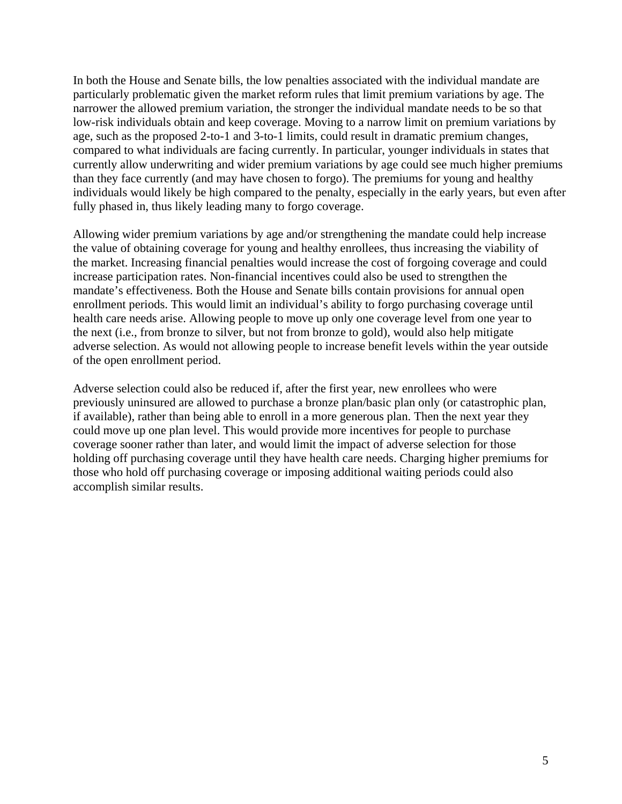In both the House and Senate bills, the low penalties associated with the individual mandate are particularly problematic given the market reform rules that limit premium variations by age. The narrower the allowed premium variation, the stronger the individual mandate needs to be so that low-risk individuals obtain and keep coverage. Moving to a narrow limit on premium variations by age, such as the proposed 2-to-1 and 3-to-1 limits, could result in dramatic premium changes, compared to what individuals are facing currently. In particular, younger individuals in states that currently allow underwriting and wider premium variations by age could see much higher premiums than they face currently (and may have chosen to forgo). The premiums for young and healthy individuals would likely be high compared to the penalty, especially in the early years, but even after fully phased in, thus likely leading many to forgo coverage.

Allowing wider premium variations by age and/or strengthening the mandate could help increase the value of obtaining coverage for young and healthy enrollees, thus increasing the viability of the market. Increasing financial penalties would increase the cost of forgoing coverage and could increase participation rates. Non-financial incentives could also be used to strengthen the mandate's effectiveness. Both the House and Senate bills contain provisions for annual open enrollment periods. This would limit an individual's ability to forgo purchasing coverage until health care needs arise. Allowing people to move up only one coverage level from one year to the next (i.e., from bronze to silver, but not from bronze to gold), would also help mitigate adverse selection. As would not allowing people to increase benefit levels within the year outside of the open enrollment period.

Adverse selection could also be reduced if, after the first year, new enrollees who were previously uninsured are allowed to purchase a bronze plan/basic plan only (or catastrophic plan, if available), rather than being able to enroll in a more generous plan. Then the next year they could move up one plan level. This would provide more incentives for people to purchase coverage sooner rather than later, and would limit the impact of adverse selection for those holding off purchasing coverage until they have health care needs. Charging higher premiums for those who hold off purchasing coverage or imposing additional waiting periods could also accomplish similar results.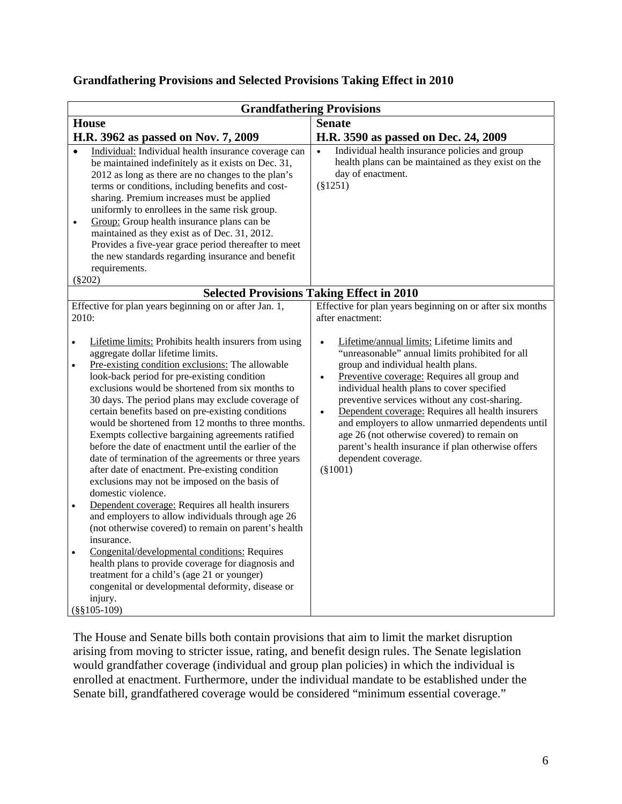# **Grandfathering Provisions and Selected Provisions Taking Effect in 2010**

|                                                  | <b>Grandfathering Provisions</b>                                                                                                                                                                                                                                                                                                                                                                                                                                                                                                                                                                                                                                                                                                                                                                                                                                                                                                                                                                                                                                                                            |                                                                                                                                                                                                                                                                                                                                                                                                                                                                                                                                                                 |  |
|--------------------------------------------------|-------------------------------------------------------------------------------------------------------------------------------------------------------------------------------------------------------------------------------------------------------------------------------------------------------------------------------------------------------------------------------------------------------------------------------------------------------------------------------------------------------------------------------------------------------------------------------------------------------------------------------------------------------------------------------------------------------------------------------------------------------------------------------------------------------------------------------------------------------------------------------------------------------------------------------------------------------------------------------------------------------------------------------------------------------------------------------------------------------------|-----------------------------------------------------------------------------------------------------------------------------------------------------------------------------------------------------------------------------------------------------------------------------------------------------------------------------------------------------------------------------------------------------------------------------------------------------------------------------------------------------------------------------------------------------------------|--|
|                                                  | <b>House</b>                                                                                                                                                                                                                                                                                                                                                                                                                                                                                                                                                                                                                                                                                                                                                                                                                                                                                                                                                                                                                                                                                                | <b>Senate</b>                                                                                                                                                                                                                                                                                                                                                                                                                                                                                                                                                   |  |
|                                                  | H.R. 3962 as passed on Nov. 7, 2009                                                                                                                                                                                                                                                                                                                                                                                                                                                                                                                                                                                                                                                                                                                                                                                                                                                                                                                                                                                                                                                                         | H.R. 3590 as passed on Dec. 24, 2009                                                                                                                                                                                                                                                                                                                                                                                                                                                                                                                            |  |
| $\bullet$                                        | Individual: Individual health insurance coverage can<br>be maintained indefinitely as it exists on Dec. 31,<br>2012 as long as there are no changes to the plan's<br>terms or conditions, including benefits and cost-<br>sharing. Premium increases must be applied<br>uniformly to enrollees in the same risk group.<br>Group: Group health insurance plans can be<br>maintained as they exist as of Dec. 31, 2012.<br>Provides a five-year grace period thereafter to meet<br>the new standards regarding insurance and benefit<br>requirements.<br>$(\$202)$                                                                                                                                                                                                                                                                                                                                                                                                                                                                                                                                            | Individual health insurance policies and group<br>$\bullet$<br>health plans can be maintained as they exist on the<br>day of enactment.<br>$(\$1251)$                                                                                                                                                                                                                                                                                                                                                                                                           |  |
|                                                  |                                                                                                                                                                                                                                                                                                                                                                                                                                                                                                                                                                                                                                                                                                                                                                                                                                                                                                                                                                                                                                                                                                             | <b>Selected Provisions Taking Effect in 2010</b>                                                                                                                                                                                                                                                                                                                                                                                                                                                                                                                |  |
| 2010:                                            | Effective for plan years beginning on or after Jan. 1,                                                                                                                                                                                                                                                                                                                                                                                                                                                                                                                                                                                                                                                                                                                                                                                                                                                                                                                                                                                                                                                      | Effective for plan years beginning on or after six months<br>after enactment:                                                                                                                                                                                                                                                                                                                                                                                                                                                                                   |  |
| $\bullet$<br>$\bullet$<br>$\bullet$<br>$\bullet$ | Lifetime limits: Prohibits health insurers from using<br>aggregate dollar lifetime limits.<br>Pre-existing condition exclusions: The allowable<br>look-back period for pre-existing condition<br>exclusions would be shortened from six months to<br>30 days. The period plans may exclude coverage of<br>certain benefits based on pre-existing conditions<br>would be shortened from 12 months to three months.<br>Exempts collective bargaining agreements ratified<br>before the date of enactment until the earlier of the<br>date of termination of the agreements or three years<br>after date of enactment. Pre-existing condition<br>exclusions may not be imposed on the basis of<br>domestic violence.<br>Dependent coverage: Requires all health insurers<br>and employers to allow individuals through age 26<br>(not otherwise covered) to remain on parent's health<br>insurance.<br>Congenital/developmental conditions: Requires<br>health plans to provide coverage for diagnosis and<br>treatment for a child's (age 21 or younger)<br>congenital or developmental deformity, disease or | Lifetime/annual limits: Lifetime limits and<br>"unreasonable" annual limits prohibited for all<br>group and individual health plans.<br>Preventive coverage: Requires all group and<br>$\bullet$<br>individual health plans to cover specified<br>preventive services without any cost-sharing.<br>Dependent coverage: Requires all health insurers<br>$\bullet$<br>and employers to allow unmarried dependents until<br>age 26 (not otherwise covered) to remain on<br>parent's health insurance if plan otherwise offers<br>dependent coverage.<br>$(\$1001)$ |  |
|                                                  | injury.<br>$(\$§105-109)$                                                                                                                                                                                                                                                                                                                                                                                                                                                                                                                                                                                                                                                                                                                                                                                                                                                                                                                                                                                                                                                                                   |                                                                                                                                                                                                                                                                                                                                                                                                                                                                                                                                                                 |  |

The House and Senate bills both contain provisions that aim to limit the market disruption arising from moving to stricter issue, rating, and benefit design rules. The Senate legislation would grandfather coverage (individual and group plan policies) in which the individual is enrolled at enactment. Furthermore, under the individual mandate to be established under the Senate bill, grandfathered coverage would be considered "minimum essential coverage."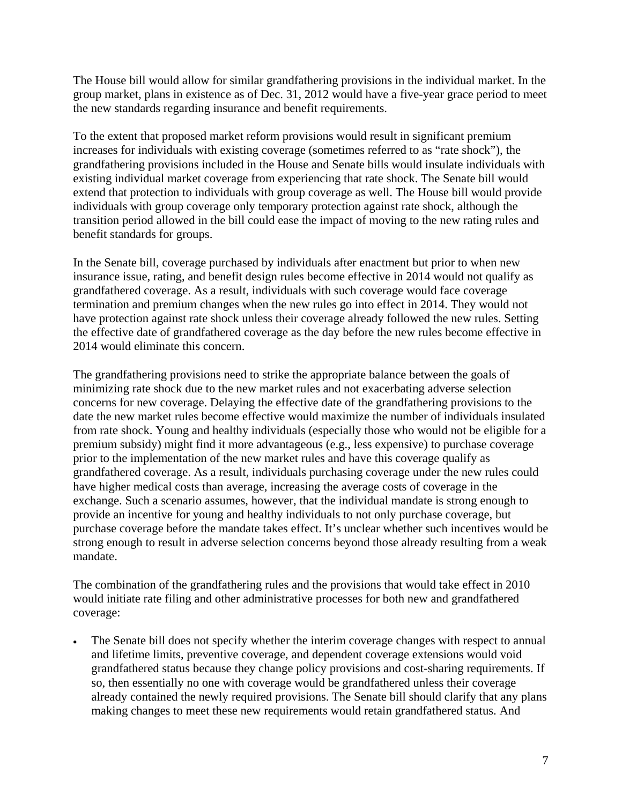The House bill would allow for similar grandfathering provisions in the individual market. In the group market, plans in existence as of Dec. 31, 2012 would have a five-year grace period to meet the new standards regarding insurance and benefit requirements.

To the extent that proposed market reform provisions would result in significant premium increases for individuals with existing coverage (sometimes referred to as "rate shock"), the grandfathering provisions included in the House and Senate bills would insulate individuals with existing individual market coverage from experiencing that rate shock. The Senate bill would extend that protection to individuals with group coverage as well. The House bill would provide individuals with group coverage only temporary protection against rate shock, although the transition period allowed in the bill could ease the impact of moving to the new rating rules and benefit standards for groups.

In the Senate bill, coverage purchased by individuals after enactment but prior to when new insurance issue, rating, and benefit design rules become effective in 2014 would not qualify as grandfathered coverage. As a result, individuals with such coverage would face coverage termination and premium changes when the new rules go into effect in 2014. They would not have protection against rate shock unless their coverage already followed the new rules. Setting the effective date of grandfathered coverage as the day before the new rules become effective in 2014 would eliminate this concern.

The grandfathering provisions need to strike the appropriate balance between the goals of minimizing rate shock due to the new market rules and not exacerbating adverse selection concerns for new coverage. Delaying the effective date of the grandfathering provisions to the date the new market rules become effective would maximize the number of individuals insulated from rate shock. Young and healthy individuals (especially those who would not be eligible for a premium subsidy) might find it more advantageous (e.g., less expensive) to purchase coverage prior to the implementation of the new market rules and have this coverage qualify as grandfathered coverage. As a result, individuals purchasing coverage under the new rules could have higher medical costs than average, increasing the average costs of coverage in the exchange. Such a scenario assumes, however, that the individual mandate is strong enough to provide an incentive for young and healthy individuals to not only purchase coverage, but purchase coverage before the mandate takes effect. It's unclear whether such incentives would be strong enough to result in adverse selection concerns beyond those already resulting from a weak mandate.

The combination of the grandfathering rules and the provisions that would take effect in 2010 would initiate rate filing and other administrative processes for both new and grandfathered coverage:

 The Senate bill does not specify whether the interim coverage changes with respect to annual and lifetime limits, preventive coverage, and dependent coverage extensions would void grandfathered status because they change policy provisions and cost-sharing requirements. If so, then essentially no one with coverage would be grandfathered unless their coverage already contained the newly required provisions. The Senate bill should clarify that any plans making changes to meet these new requirements would retain grandfathered status. And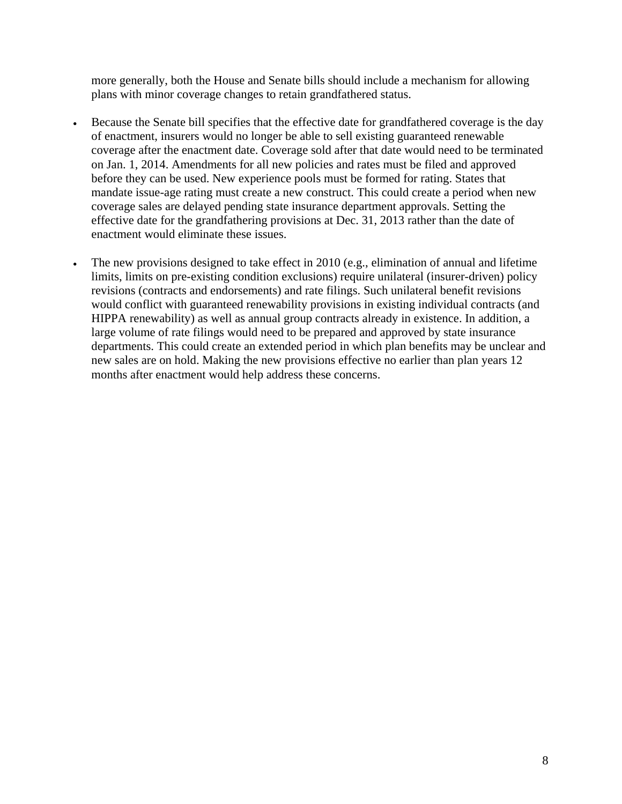more generally, both the House and Senate bills should include a mechanism for allowing plans with minor coverage changes to retain grandfathered status.

- Because the Senate bill specifies that the effective date for grandfathered coverage is the day of enactment, insurers would no longer be able to sell existing guaranteed renewable coverage after the enactment date. Coverage sold after that date would need to be terminated on Jan. 1, 2014. Amendments for all new policies and rates must be filed and approved before they can be used. New experience pools must be formed for rating. States that mandate issue-age rating must create a new construct. This could create a period when new coverage sales are delayed pending state insurance department approvals. Setting the effective date for the grandfathering provisions at Dec. 31, 2013 rather than the date of enactment would eliminate these issues.
- The new provisions designed to take effect in 2010 (e.g., elimination of annual and lifetime limits, limits on pre-existing condition exclusions) require unilateral (insurer-driven) policy revisions (contracts and endorsements) and rate filings. Such unilateral benefit revisions would conflict with guaranteed renewability provisions in existing individual contracts (and HIPPA renewability) as well as annual group contracts already in existence. In addition, a large volume of rate filings would need to be prepared and approved by state insurance departments. This could create an extended period in which plan benefits may be unclear and new sales are on hold. Making the new provisions effective no earlier than plan years 12 months after enactment would help address these concerns.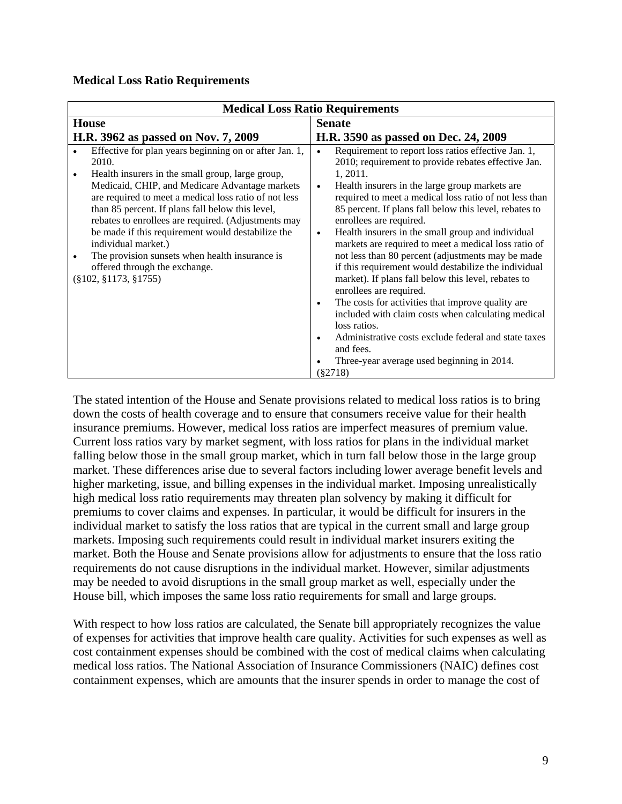### **Medical Loss Ratio Requirements**

| <b>Medical Loss Ratio Requirements</b>                                                                                                                                                                                                                                                                                                                                                                                                                                                                                                                |                                                                                                                                                                                                                                                                                                                                                                                                                                                                                                                                                                                                                                                                                                                                                                                                                                                                                                                                                    |
|-------------------------------------------------------------------------------------------------------------------------------------------------------------------------------------------------------------------------------------------------------------------------------------------------------------------------------------------------------------------------------------------------------------------------------------------------------------------------------------------------------------------------------------------------------|----------------------------------------------------------------------------------------------------------------------------------------------------------------------------------------------------------------------------------------------------------------------------------------------------------------------------------------------------------------------------------------------------------------------------------------------------------------------------------------------------------------------------------------------------------------------------------------------------------------------------------------------------------------------------------------------------------------------------------------------------------------------------------------------------------------------------------------------------------------------------------------------------------------------------------------------------|
| <b>House</b>                                                                                                                                                                                                                                                                                                                                                                                                                                                                                                                                          | <b>Senate</b>                                                                                                                                                                                                                                                                                                                                                                                                                                                                                                                                                                                                                                                                                                                                                                                                                                                                                                                                      |
| H.R. 3962 as passed on Nov. 7, 2009                                                                                                                                                                                                                                                                                                                                                                                                                                                                                                                   | H.R. 3590 as passed on Dec. 24, 2009                                                                                                                                                                                                                                                                                                                                                                                                                                                                                                                                                                                                                                                                                                                                                                                                                                                                                                               |
| Effective for plan years beginning on or after Jan. 1,<br>2010.<br>Health insurers in the small group, large group,<br>$\bullet$<br>Medicaid, CHIP, and Medicare Advantage markets<br>are required to meet a medical loss ratio of not less<br>than 85 percent. If plans fall below this level,<br>rebates to enrollees are required. (Adjustments may<br>be made if this requirement would destabilize the<br>individual market.)<br>The provision sunsets when health insurance is<br>offered through the exchange.<br>$(\S 102, \S 1173, \S 1755)$ | Requirement to report loss ratios effective Jan. 1,<br>$\bullet$<br>2010; requirement to provide rebates effective Jan.<br>1, 2011.<br>Health insurers in the large group markets are<br>$\bullet$<br>required to meet a medical loss ratio of not less than<br>85 percent. If plans fall below this level, rebates to<br>enrollees are required.<br>Health insurers in the small group and individual<br>$\bullet$<br>markets are required to meet a medical loss ratio of<br>not less than 80 percent (adjustments may be made<br>if this requirement would destabilize the individual<br>market). If plans fall below this level, rebates to<br>enrollees are required.<br>The costs for activities that improve quality are<br>$\bullet$<br>included with claim costs when calculating medical<br>loss ratios.<br>Administrative costs exclude federal and state taxes<br>$\bullet$<br>and fees.<br>Three-year average used beginning in 2014. |
|                                                                                                                                                                                                                                                                                                                                                                                                                                                                                                                                                       | $(\$2718)$                                                                                                                                                                                                                                                                                                                                                                                                                                                                                                                                                                                                                                                                                                                                                                                                                                                                                                                                         |

The stated intention of the House and Senate provisions related to medical loss ratios is to bring down the costs of health coverage and to ensure that consumers receive value for their health insurance premiums. However, medical loss ratios are imperfect measures of premium value. Current loss ratios vary by market segment, with loss ratios for plans in the individual market falling below those in the small group market, which in turn fall below those in the large group market. These differences arise due to several factors including lower average benefit levels and higher marketing, issue, and billing expenses in the individual market. Imposing unrealistically high medical loss ratio requirements may threaten plan solvency by making it difficult for premiums to cover claims and expenses. In particular, it would be difficult for insurers in the individual market to satisfy the loss ratios that are typical in the current small and large group markets. Imposing such requirements could result in individual market insurers exiting the market. Both the House and Senate provisions allow for adjustments to ensure that the loss ratio requirements do not cause disruptions in the individual market. However, similar adjustments may be needed to avoid disruptions in the small group market as well, especially under the House bill, which imposes the same loss ratio requirements for small and large groups.

With respect to how loss ratios are calculated, the Senate bill appropriately recognizes the value of expenses for activities that improve health care quality. Activities for such expenses as well as cost containment expenses should be combined with the cost of medical claims when calculating medical loss ratios. The National Association of Insurance Commissioners (NAIC) defines cost containment expenses, which are amounts that the insurer spends in order to manage the cost of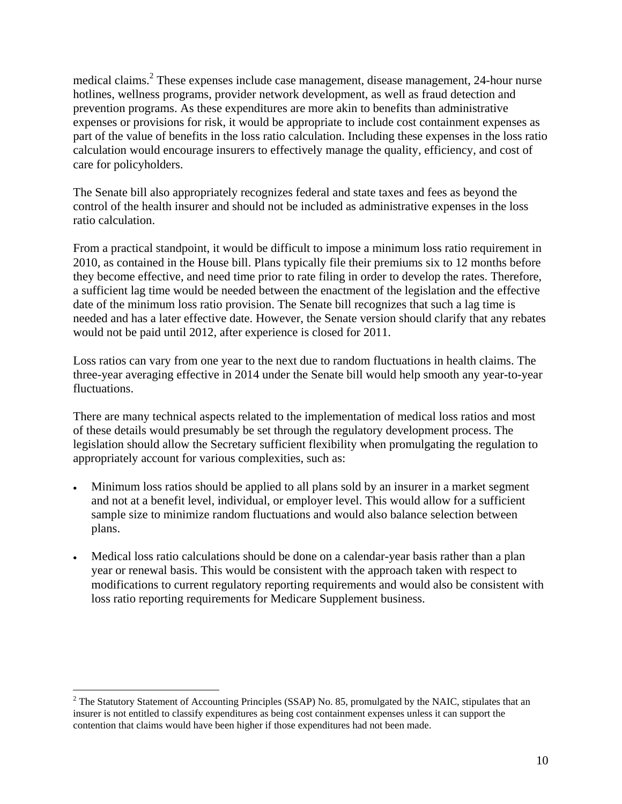medical claims.<sup>2</sup> These expenses include case management, disease management, 24-hour nurse hotlines, wellness programs, provider network development, as well as fraud detection and prevention programs. As these expenditures are more akin to benefits than administrative expenses or provisions for risk, it would be appropriate to include cost containment expenses as part of the value of benefits in the loss ratio calculation. Including these expenses in the loss ratio calculation would encourage insurers to effectively manage the quality, efficiency, and cost of care for policyholders.

The Senate bill also appropriately recognizes federal and state taxes and fees as beyond the control of the health insurer and should not be included as administrative expenses in the loss ratio calculation.

From a practical standpoint, it would be difficult to impose a minimum loss ratio requirement in 2010, as contained in the House bill. Plans typically file their premiums six to 12 months before they become effective, and need time prior to rate filing in order to develop the rates. Therefore, a sufficient lag time would be needed between the enactment of the legislation and the effective date of the minimum loss ratio provision. The Senate bill recognizes that such a lag time is needed and has a later effective date. However, the Senate version should clarify that any rebates would not be paid until 2012, after experience is closed for 2011.

Loss ratios can vary from one year to the next due to random fluctuations in health claims. The three-year averaging effective in 2014 under the Senate bill would help smooth any year-to-year fluctuations.

There are many technical aspects related to the implementation of medical loss ratios and most of these details would presumably be set through the regulatory development process. The legislation should allow the Secretary sufficient flexibility when promulgating the regulation to appropriately account for various complexities, such as:

- Minimum loss ratios should be applied to all plans sold by an insurer in a market segment and not at a benefit level, individual, or employer level. This would allow for a sufficient sample size to minimize random fluctuations and would also balance selection between plans.
- Medical loss ratio calculations should be done on a calendar-year basis rather than a plan year or renewal basis. This would be consistent with the approach taken with respect to modifications to current regulatory reporting requirements and would also be consistent with loss ratio reporting requirements for Medicare Supplement business.

 $\overline{a}$ 

<sup>&</sup>lt;sup>2</sup> The Statutory Statement of Accounting Principles (SSAP) No. 85, promulgated by the NAIC, stipulates that an insurer is not entitled to classify expenditures as being cost containment expenses unless it can support the contention that claims would have been higher if those expenditures had not been made.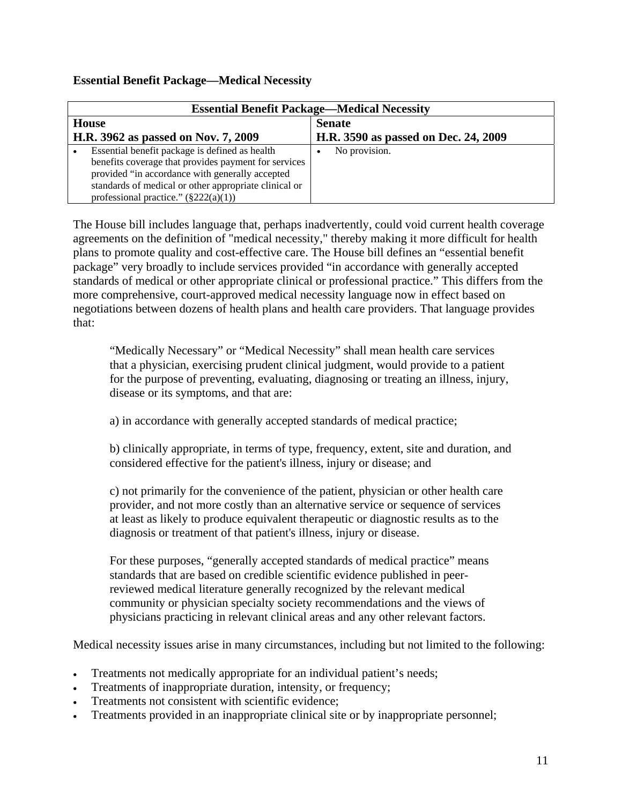# **Essential Benefit Package—Medical Necessity**

| <b>Essential Benefit Package—Medical Necessity</b> |                                                                                                          |                                      |
|----------------------------------------------------|----------------------------------------------------------------------------------------------------------|--------------------------------------|
| <b>House</b>                                       |                                                                                                          | <b>Senate</b>                        |
|                                                    | H.R. 3962 as passed on Nov. 7, 2009                                                                      | H.R. 3590 as passed on Dec. 24, 2009 |
|                                                    | Essential benefit package is defined as health<br>benefits coverage that provides payment for services   | No provision.                        |
|                                                    | provided "in accordance with generally accepted<br>standards of medical or other appropriate clinical or |                                      |
|                                                    | professional practice." $(\frac{222(a)(1)}{2})$                                                          |                                      |

The House bill includes language that, perhaps inadvertently, could void current health coverage agreements on the definition of "medical necessity," thereby making it more difficult for health plans to promote quality and cost-effective care. The House bill defines an "essential benefit package" very broadly to include services provided "in accordance with generally accepted standards of medical or other appropriate clinical or professional practice." This differs from the more comprehensive, court-approved medical necessity language now in effect based on negotiations between dozens of health plans and health care providers. That language provides that:

"Medically Necessary" or "Medical Necessity" shall mean health care services that a physician, exercising prudent clinical judgment, would provide to a patient for the purpose of preventing, evaluating, diagnosing or treating an illness, injury, disease or its symptoms, and that are:

a) in accordance with generally accepted standards of medical practice;

b) clinically appropriate, in terms of type, frequency, extent, site and duration, and considered effective for the patient's illness, injury or disease; and

c) not primarily for the convenience of the patient, physician or other health care provider, and not more costly than an alternative service or sequence of services at least as likely to produce equivalent therapeutic or diagnostic results as to the diagnosis or treatment of that patient's illness, injury or disease.

For these purposes, "generally accepted standards of medical practice" means standards that are based on credible scientific evidence published in peerreviewed medical literature generally recognized by the relevant medical community or physician specialty society recommendations and the views of physicians practicing in relevant clinical areas and any other relevant factors.

Medical necessity issues arise in many circumstances, including but not limited to the following:

- Treatments not medically appropriate for an individual patient's needs;
- Treatments of inappropriate duration, intensity, or frequency;
- Treatments not consistent with scientific evidence;
- Treatments provided in an inappropriate clinical site or by inappropriate personnel;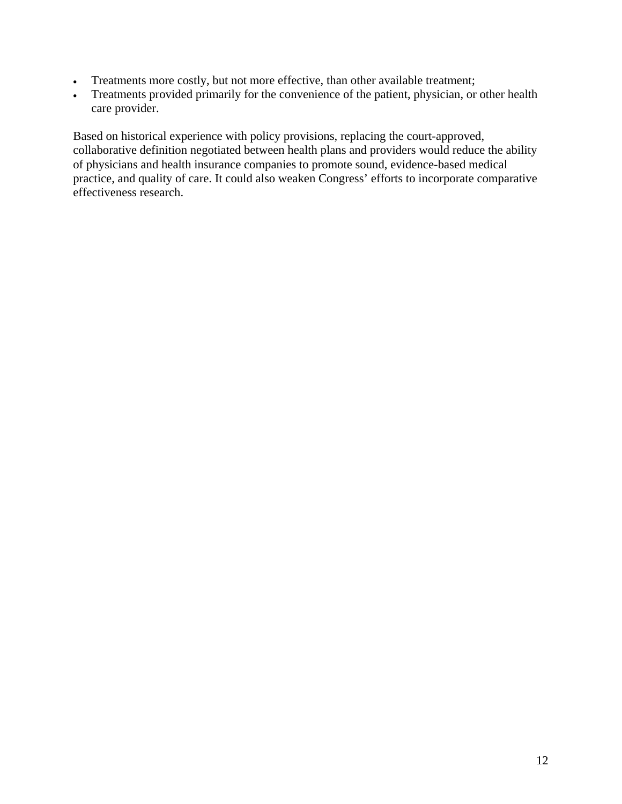- Treatments more costly, but not more effective, than other available treatment;
- Treatments provided primarily for the convenience of the patient, physician, or other health care provider.

Based on historical experience with policy provisions, replacing the court-approved, collaborative definition negotiated between health plans and providers would reduce the ability of physicians and health insurance companies to promote sound, evidence-based medical practice, and quality of care. It could also weaken Congress' efforts to incorporate comparative effectiveness research.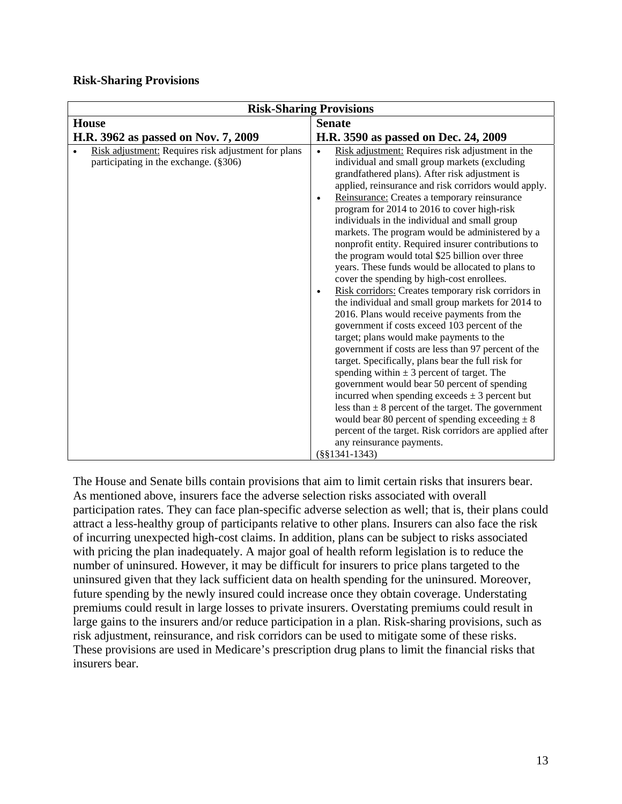### **Risk-Sharing Provisions**

| <b>Risk-Sharing Provisions</b>                                                               |                                                                                                                                                                                                                                                                                                                                                                                                                                                                                                                                                                                                                                                                                                                                                                                                                                                                                                                                                                                                                                                                                                                                                                                                                                                                                                                                                                                                                                 |
|----------------------------------------------------------------------------------------------|---------------------------------------------------------------------------------------------------------------------------------------------------------------------------------------------------------------------------------------------------------------------------------------------------------------------------------------------------------------------------------------------------------------------------------------------------------------------------------------------------------------------------------------------------------------------------------------------------------------------------------------------------------------------------------------------------------------------------------------------------------------------------------------------------------------------------------------------------------------------------------------------------------------------------------------------------------------------------------------------------------------------------------------------------------------------------------------------------------------------------------------------------------------------------------------------------------------------------------------------------------------------------------------------------------------------------------------------------------------------------------------------------------------------------------|
| <b>House</b>                                                                                 | <b>Senate</b>                                                                                                                                                                                                                                                                                                                                                                                                                                                                                                                                                                                                                                                                                                                                                                                                                                                                                                                                                                                                                                                                                                                                                                                                                                                                                                                                                                                                                   |
| H.R. 3962 as passed on Nov. 7, 2009                                                          | H.R. 3590 as passed on Dec. 24, 2009                                                                                                                                                                                                                                                                                                                                                                                                                                                                                                                                                                                                                                                                                                                                                                                                                                                                                                                                                                                                                                                                                                                                                                                                                                                                                                                                                                                            |
| Risk adjustment: Requires risk adjustment for plans<br>participating in the exchange. (§306) | Risk adjustment: Requires risk adjustment in the<br>$\bullet$<br>individual and small group markets (excluding<br>grandfathered plans). After risk adjustment is<br>applied, reinsurance and risk corridors would apply.<br>Reinsurance: Creates a temporary reinsurance<br>$\bullet$<br>program for 2014 to 2016 to cover high-risk<br>individuals in the individual and small group<br>markets. The program would be administered by a<br>nonprofit entity. Required insurer contributions to<br>the program would total \$25 billion over three<br>years. These funds would be allocated to plans to<br>cover the spending by high-cost enrollees.<br>Risk corridors: Creates temporary risk corridors in<br>$\bullet$<br>the individual and small group markets for 2014 to<br>2016. Plans would receive payments from the<br>government if costs exceed 103 percent of the<br>target; plans would make payments to the<br>government if costs are less than 97 percent of the<br>target. Specifically, plans bear the full risk for<br>spending within $\pm$ 3 percent of target. The<br>government would bear 50 percent of spending<br>incurred when spending exceeds $\pm$ 3 percent but<br>less than $\pm 8$ percent of the target. The government<br>would bear 80 percent of spending exceeding $\pm 8$<br>percent of the target. Risk corridors are applied after<br>any reinsurance payments.<br>$(\S$ §1341-1343) |

The House and Senate bills contain provisions that aim to limit certain risks that insurers bear. As mentioned above, insurers face the adverse selection risks associated with overall participation rates. They can face plan-specific adverse selection as well; that is, their plans could attract a less-healthy group of participants relative to other plans. Insurers can also face the risk of incurring unexpected high-cost claims. In addition, plans can be subject to risks associated with pricing the plan inadequately. A major goal of health reform legislation is to reduce the number of uninsured. However, it may be difficult for insurers to price plans targeted to the uninsured given that they lack sufficient data on health spending for the uninsured. Moreover, future spending by the newly insured could increase once they obtain coverage. Understating premiums could result in large losses to private insurers. Overstating premiums could result in large gains to the insurers and/or reduce participation in a plan. Risk-sharing provisions, such as risk adjustment, reinsurance, and risk corridors can be used to mitigate some of these risks. These provisions are used in Medicare's prescription drug plans to limit the financial risks that insurers bear.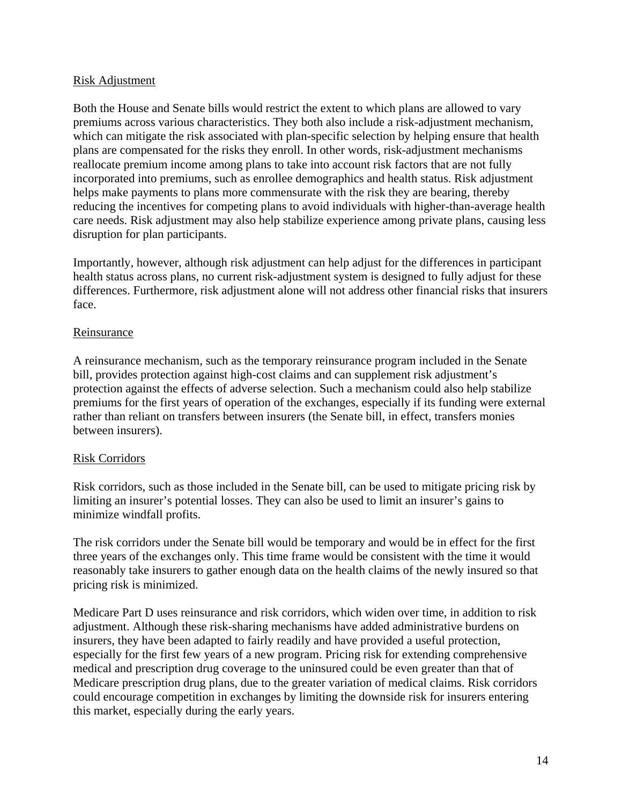## Risk Adjustment

Both the House and Senate bills would restrict the extent to which plans are allowed to vary premiums across various characteristics. They both also include a risk-adjustment mechanism, which can mitigate the risk associated with plan-specific selection by helping ensure that health plans are compensated for the risks they enroll. In other words, risk-adjustment mechanisms reallocate premium income among plans to take into account risk factors that are not fully incorporated into premiums, such as enrollee demographics and health status. Risk adjustment helps make payments to plans more commensurate with the risk they are bearing, thereby reducing the incentives for competing plans to avoid individuals with higher-than-average health care needs. Risk adjustment may also help stabilize experience among private plans, causing less disruption for plan participants.

Importantly, however, although risk adjustment can help adjust for the differences in participant health status across plans, no current risk-adjustment system is designed to fully adjust for these differences. Furthermore, risk adjustment alone will not address other financial risks that insurers face.

## Reinsurance

A reinsurance mechanism, such as the temporary reinsurance program included in the Senate bill, provides protection against high-cost claims and can supplement risk adjustment's protection against the effects of adverse selection. Such a mechanism could also help stabilize premiums for the first years of operation of the exchanges, especially if its funding were external rather than reliant on transfers between insurers (the Senate bill, in effect, transfers monies between insurers).

### Risk Corridors

Risk corridors, such as those included in the Senate bill, can be used to mitigate pricing risk by limiting an insurer's potential losses. They can also be used to limit an insurer's gains to minimize windfall profits.

The risk corridors under the Senate bill would be temporary and would be in effect for the first three years of the exchanges only. This time frame would be consistent with the time it would reasonably take insurers to gather enough data on the health claims of the newly insured so that pricing risk is minimized.

Medicare Part D uses reinsurance and risk corridors, which widen over time, in addition to risk adjustment. Although these risk-sharing mechanisms have added administrative burdens on insurers, they have been adapted to fairly readily and have provided a useful protection, especially for the first few years of a new program. Pricing risk for extending comprehensive medical and prescription drug coverage to the uninsured could be even greater than that of Medicare prescription drug plans, due to the greater variation of medical claims. Risk corridors could encourage competition in exchanges by limiting the downside risk for insurers entering this market, especially during the early years.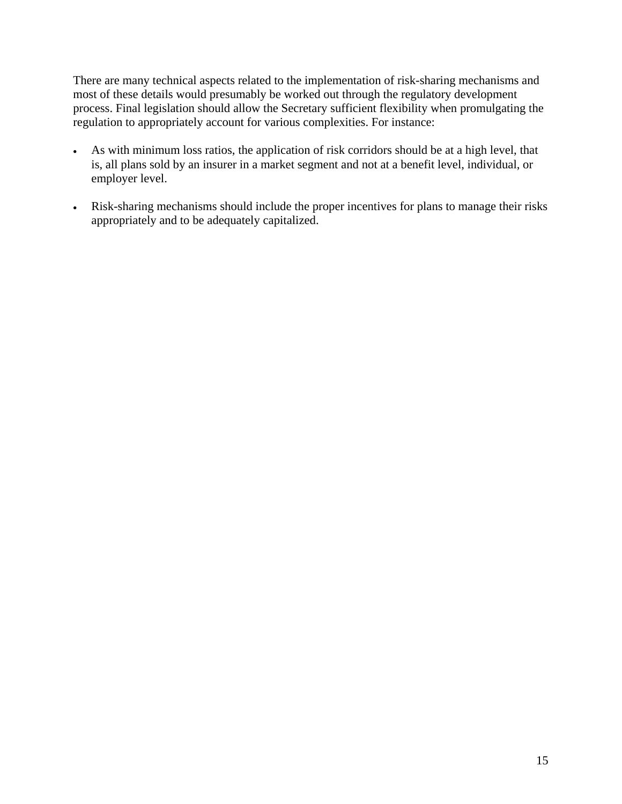There are many technical aspects related to the implementation of risk-sharing mechanisms and most of these details would presumably be worked out through the regulatory development process. Final legislation should allow the Secretary sufficient flexibility when promulgating the regulation to appropriately account for various complexities. For instance:

- As with minimum loss ratios, the application of risk corridors should be at a high level, that is, all plans sold by an insurer in a market segment and not at a benefit level, individual, or employer level.
- Risk-sharing mechanisms should include the proper incentives for plans to manage their risks appropriately and to be adequately capitalized.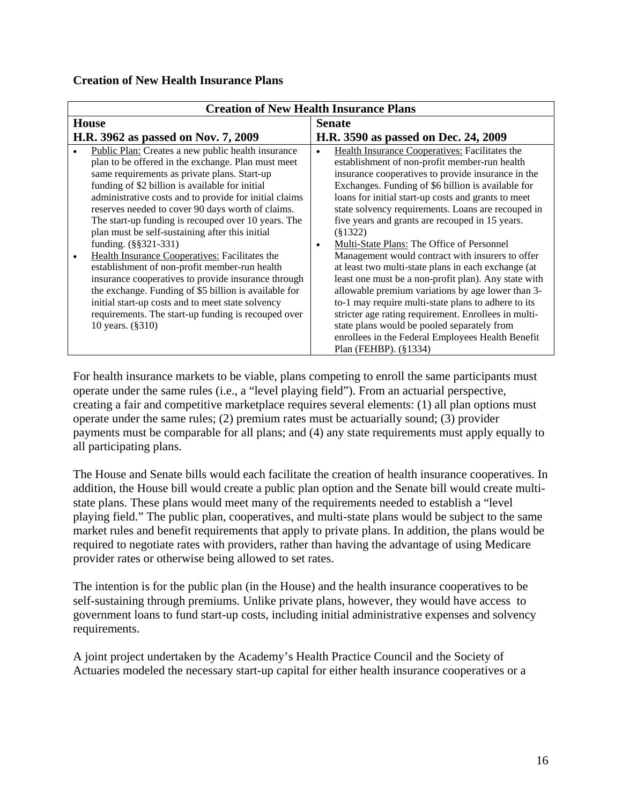## **Creation of New Health Insurance Plans**

| <b>Creation of New Health Insurance Plans</b>                                                                                                                                                                                                                                                                                                                                                                                                                                                                                                                                                                                                                                                                                                                                                                                |                                                                                                                                                                                                                                                                                                                                                                                                                                                                                                                                                                                                                                                                                                                                                                                                                                                                                                                                       |
|------------------------------------------------------------------------------------------------------------------------------------------------------------------------------------------------------------------------------------------------------------------------------------------------------------------------------------------------------------------------------------------------------------------------------------------------------------------------------------------------------------------------------------------------------------------------------------------------------------------------------------------------------------------------------------------------------------------------------------------------------------------------------------------------------------------------------|---------------------------------------------------------------------------------------------------------------------------------------------------------------------------------------------------------------------------------------------------------------------------------------------------------------------------------------------------------------------------------------------------------------------------------------------------------------------------------------------------------------------------------------------------------------------------------------------------------------------------------------------------------------------------------------------------------------------------------------------------------------------------------------------------------------------------------------------------------------------------------------------------------------------------------------|
| <b>House</b>                                                                                                                                                                                                                                                                                                                                                                                                                                                                                                                                                                                                                                                                                                                                                                                                                 | <b>Senate</b>                                                                                                                                                                                                                                                                                                                                                                                                                                                                                                                                                                                                                                                                                                                                                                                                                                                                                                                         |
| H.R. 3962 as passed on Nov. 7, 2009                                                                                                                                                                                                                                                                                                                                                                                                                                                                                                                                                                                                                                                                                                                                                                                          | H.R. 3590 as passed on Dec. 24, 2009                                                                                                                                                                                                                                                                                                                                                                                                                                                                                                                                                                                                                                                                                                                                                                                                                                                                                                  |
| Public Plan: Creates a new public health insurance<br>plan to be offered in the exchange. Plan must meet<br>same requirements as private plans. Start-up<br>funding of \$2 billion is available for initial<br>administrative costs and to provide for initial claims<br>reserves needed to cover 90 days worth of claims.<br>The start-up funding is recouped over 10 years. The<br>plan must be self-sustaining after this initial<br>funding. $(\frac{8}{5}321 - 331)$<br>Health Insurance Cooperatives: Facilitates the<br>establishment of non-profit member-run health<br>insurance cooperatives to provide insurance through<br>the exchange. Funding of \$5 billion is available for<br>initial start-up costs and to meet state solvency<br>requirements. The start-up funding is recouped over<br>10 years. (§310) | Health Insurance Cooperatives: Facilitates the<br>$\bullet$<br>establishment of non-profit member-run health<br>insurance cooperatives to provide insurance in the<br>Exchanges. Funding of \$6 billion is available for<br>loans for initial start-up costs and grants to meet<br>state solvency requirements. Loans are recouped in<br>five years and grants are recouped in 15 years.<br>$(\$1322)$<br>Multi-State Plans: The Office of Personnel<br>$\bullet$<br>Management would contract with insurers to offer<br>at least two multi-state plans in each exchange (at<br>least one must be a non-profit plan). Any state with<br>allowable premium variations by age lower than 3-<br>to-1 may require multi-state plans to adhere to its<br>stricter age rating requirement. Enrollees in multi-<br>state plans would be pooled separately from<br>enrollees in the Federal Employees Health Benefit<br>Plan (FEHBP). (§1334) |

For health insurance markets to be viable, plans competing to enroll the same participants must operate under the same rules (i.e., a "level playing field"). From an actuarial perspective, creating a fair and competitive marketplace requires several elements: (1) all plan options must operate under the same rules; (2) premium rates must be actuarially sound; (3) provider payments must be comparable for all plans; and (4) any state requirements must apply equally to all participating plans.

The House and Senate bills would each facilitate the creation of health insurance cooperatives. In addition, the House bill would create a public plan option and the Senate bill would create multistate plans. These plans would meet many of the requirements needed to establish a "level playing field." The public plan, cooperatives, and multi-state plans would be subject to the same market rules and benefit requirements that apply to private plans. In addition, the plans would be required to negotiate rates with providers, rather than having the advantage of using Medicare provider rates or otherwise being allowed to set rates.

The intention is for the public plan (in the House) and the health insurance cooperatives to be self-sustaining through premiums. Unlike private plans, however, they would have access to government loans to fund start-up costs, including initial administrative expenses and solvency requirements.

A joint project undertaken by the Academy's Health Practice Council and the Society of Actuaries modeled the necessary start-up capital for either health insurance cooperatives or a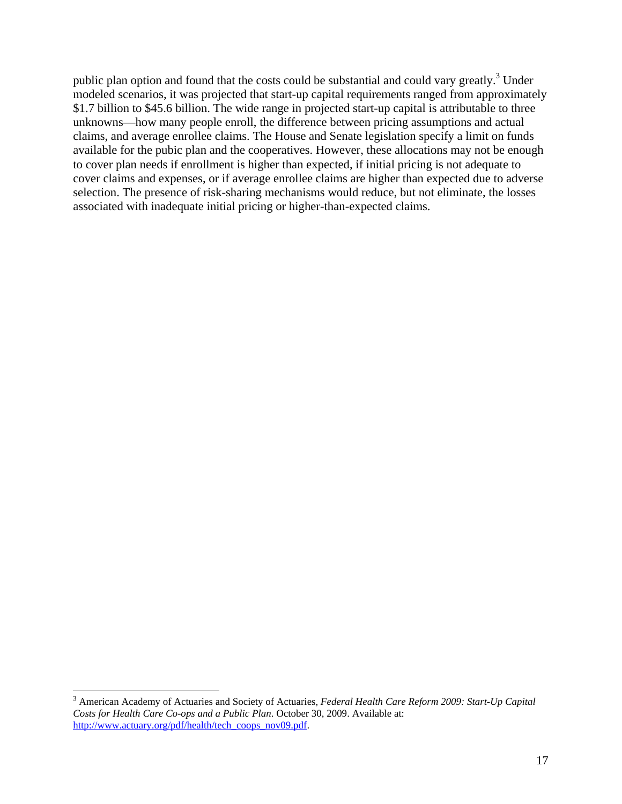public plan option and found that the costs could be substantial and could vary greatly.<sup>3</sup> Under modeled scenarios, it was projected that start-up capital requirements ranged from approximately \$1.7 billion to \$45.6 billion. The wide range in projected start-up capital is attributable to three unknowns—how many people enroll, the difference between pricing assumptions and actual claims, and average enrollee claims. The House and Senate legislation specify a limit on funds available for the pubic plan and the cooperatives. However, these allocations may not be enough to cover plan needs if enrollment is higher than expected, if initial pricing is not adequate to cover claims and expenses, or if average enrollee claims are higher than expected due to adverse selection. The presence of risk-sharing mechanisms would reduce, but not eliminate, the losses associated with inadequate initial pricing or higher-than-expected claims.

1

<sup>3</sup> American Academy of Actuaries and Society of Actuaries, *Federal Health Care Reform 2009: Start-Up Capital Costs for Health Care Co-ops and a Public Plan*. October 30, 2009. Available at: http://www.actuary.org/pdf/health/tech\_coops\_nov09.pdf.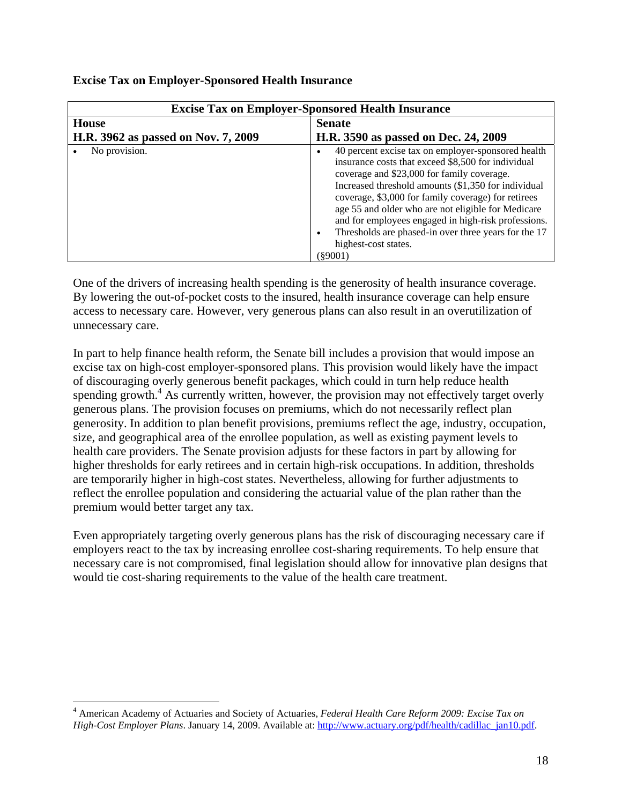| <b>Excise Tax on Employer-Sponsored Health Insurance</b> |                                                                                                                                                                                                                                                                                                                                                                                                                                                                                                        |
|----------------------------------------------------------|--------------------------------------------------------------------------------------------------------------------------------------------------------------------------------------------------------------------------------------------------------------------------------------------------------------------------------------------------------------------------------------------------------------------------------------------------------------------------------------------------------|
| <b>House</b>                                             | <b>Senate</b>                                                                                                                                                                                                                                                                                                                                                                                                                                                                                          |
| H.R. 3962 as passed on Nov. 7, 2009                      | H.R. 3590 as passed on Dec. 24, 2009                                                                                                                                                                                                                                                                                                                                                                                                                                                                   |
| No provision.                                            | 40 percent excise tax on employer-sponsored health<br>$\bullet$<br>insurance costs that exceed \$8,500 for individual<br>coverage and \$23,000 for family coverage.<br>Increased threshold amounts (\$1,350 for individual<br>coverage, \$3,000 for family coverage) for retirees<br>age 55 and older who are not eligible for Medicare<br>and for employees engaged in high-risk professions.<br>Thresholds are phased-in over three years for the 17<br>$\bullet$<br>highest-cost states.<br>(89001) |

# **Excise Tax on Employer-Sponsored Health Insurance**

One of the drivers of increasing health spending is the generosity of health insurance coverage. By lowering the out-of-pocket costs to the insured, health insurance coverage can help ensure access to necessary care. However, very generous plans can also result in an overutilization of unnecessary care.

In part to help finance health reform, the Senate bill includes a provision that would impose an excise tax on high-cost employer-sponsored plans. This provision would likely have the impact of discouraging overly generous benefit packages, which could in turn help reduce health spending growth.<sup>4</sup> As currently written, however, the provision may not effectively target overly generous plans. The provision focuses on premiums, which do not necessarily reflect plan generosity. In addition to plan benefit provisions, premiums reflect the age, industry, occupation, size, and geographical area of the enrollee population, as well as existing payment levels to health care providers. The Senate provision adjusts for these factors in part by allowing for higher thresholds for early retirees and in certain high-risk occupations. In addition, thresholds are temporarily higher in high-cost states. Nevertheless, allowing for further adjustments to reflect the enrollee population and considering the actuarial value of the plan rather than the premium would better target any tax.

Even appropriately targeting overly generous plans has the risk of discouraging necessary care if employers react to the tax by increasing enrollee cost-sharing requirements. To help ensure that necessary care is not compromised, final legislation should allow for innovative plan designs that would tie cost-sharing requirements to the value of the health care treatment.

 $\overline{a}$ 

<sup>4</sup> American Academy of Actuaries and Society of Actuaries, *Federal Health Care Reform 2009: Excise Tax on High-Cost Employer Plans*. January 14, 2009. Available at: http://www.actuary.org/pdf/health/cadillac\_jan10.pdf.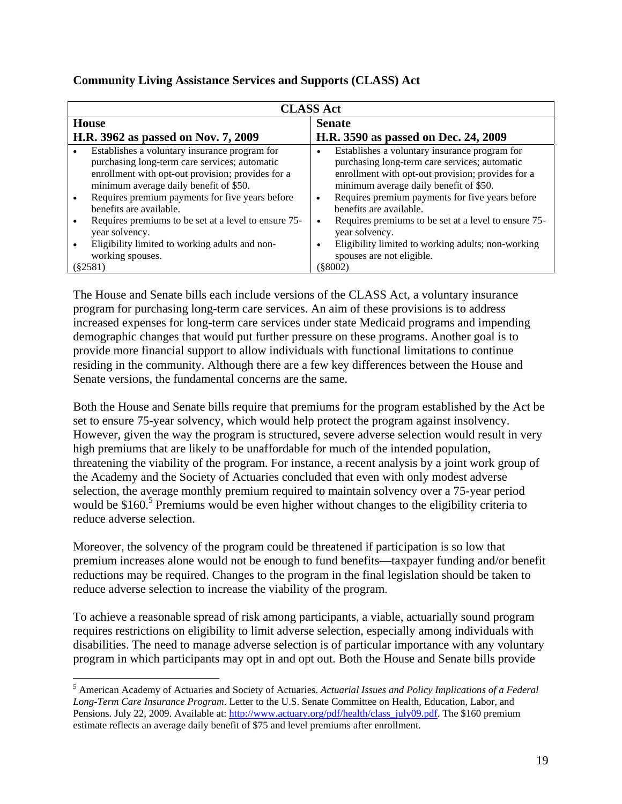| <b>CLASS Act</b> |                                                                                                                                                                                               |                                                                                                                                                                                               |
|------------------|-----------------------------------------------------------------------------------------------------------------------------------------------------------------------------------------------|-----------------------------------------------------------------------------------------------------------------------------------------------------------------------------------------------|
|                  | House                                                                                                                                                                                         | <b>Senate</b>                                                                                                                                                                                 |
|                  | H.R. 3962 as passed on Nov. 7, 2009                                                                                                                                                           | H.R. 3590 as passed on Dec. 24, 2009                                                                                                                                                          |
|                  | Establishes a voluntary insurance program for<br>purchasing long-term care services; automatic<br>enrollment with opt-out provision; provides for a<br>minimum average daily benefit of \$50. | Establishes a voluntary insurance program for<br>purchasing long-term care services; automatic<br>enrollment with opt-out provision; provides for a<br>minimum average daily benefit of \$50. |
|                  | Requires premium payments for five years before<br>benefits are available.                                                                                                                    | Requires premium payments for five years before<br>٠<br>benefits are available.                                                                                                               |
|                  | Requires premiums to be set at a level to ensure 75-<br>year solvency.<br>Eligibility limited to working adults and non-                                                                      | Requires premiums to be set at a level to ensure 75-<br>$\bullet$<br>year solvency.<br>Eligibility limited to working adults; non-working                                                     |
|                  | working spouses.<br>(82581)                                                                                                                                                                   | spouses are not eligible.<br>(§8002)                                                                                                                                                          |

# **Community Living Assistance Services and Supports (CLASS) Act**

The House and Senate bills each include versions of the CLASS Act, a voluntary insurance program for purchasing long-term care services. An aim of these provisions is to address increased expenses for long-term care services under state Medicaid programs and impending demographic changes that would put further pressure on these programs. Another goal is to provide more financial support to allow individuals with functional limitations to continue residing in the community. Although there are a few key differences between the House and Senate versions, the fundamental concerns are the same.

Both the House and Senate bills require that premiums for the program established by the Act be set to ensure 75-year solvency, which would help protect the program against insolvency. However, given the way the program is structured, severe adverse selection would result in very high premiums that are likely to be unaffordable for much of the intended population, threatening the viability of the program. For instance, a recent analysis by a joint work group of the Academy and the Society of Actuaries concluded that even with only modest adverse selection, the average monthly premium required to maintain solvency over a 75-year period would be \$160.<sup>5</sup> Premiums would be even higher without changes to the eligibility criteria to reduce adverse selection.

Moreover, the solvency of the program could be threatened if participation is so low that premium increases alone would not be enough to fund benefits—taxpayer funding and/or benefit reductions may be required. Changes to the program in the final legislation should be taken to reduce adverse selection to increase the viability of the program.

To achieve a reasonable spread of risk among participants, a viable, actuarially sound program requires restrictions on eligibility to limit adverse selection, especially among individuals with disabilities. The need to manage adverse selection is of particular importance with any voluntary program in which participants may opt in and opt out. Both the House and Senate bills provide

 $\overline{a}$ 

<sup>5</sup> American Academy of Actuaries and Society of Actuaries. *Actuarial Issues and Policy Implications of a Federal Long-Term Care Insurance Program*. Letter to the U.S. Senate Committee on Health, Education, Labor, and Pensions. July 22, 2009. Available at: http://www.actuary.org/pdf/health/class\_july09.pdf. The \$160 premium estimate reflects an average daily benefit of \$75 and level premiums after enrollment.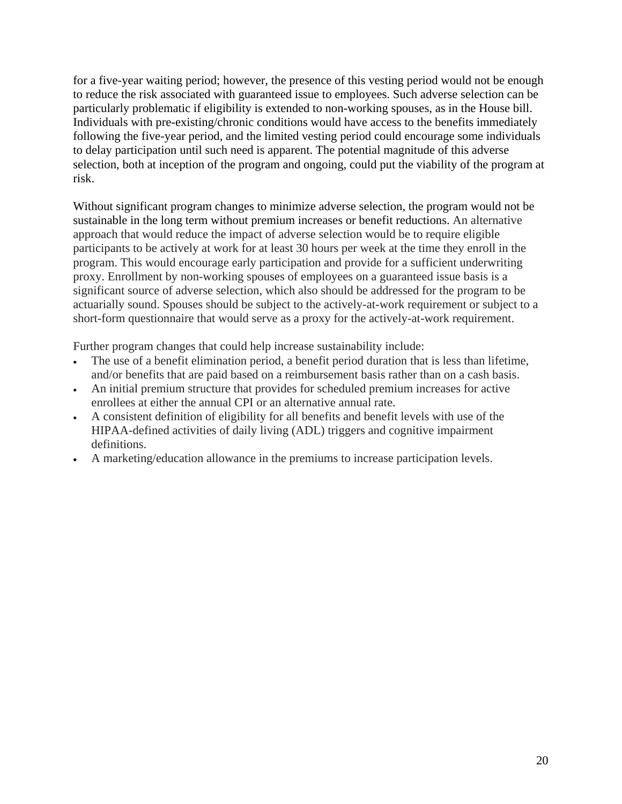for a five-year waiting period; however, the presence of this vesting period would not be enough to reduce the risk associated with guaranteed issue to employees. Such adverse selection can be particularly problematic if eligibility is extended to non-working spouses, as in the House bill. Individuals with pre-existing/chronic conditions would have access to the benefits immediately following the five-year period, and the limited vesting period could encourage some individuals to delay participation until such need is apparent. The potential magnitude of this adverse selection, both at inception of the program and ongoing, could put the viability of the program at risk.

Without significant program changes to minimize adverse selection, the program would not be sustainable in the long term without premium increases or benefit reductions. An alternative approach that would reduce the impact of adverse selection would be to require eligible participants to be actively at work for at least 30 hours per week at the time they enroll in the program. This would encourage early participation and provide for a sufficient underwriting proxy. Enrollment by non-working spouses of employees on a guaranteed issue basis is a significant source of adverse selection, which also should be addressed for the program to be actuarially sound. Spouses should be subject to the actively-at-work requirement or subject to a short-form questionnaire that would serve as a proxy for the actively-at-work requirement.

Further program changes that could help increase sustainability include:

- The use of a benefit elimination period, a benefit period duration that is less than lifetime, and/or benefits that are paid based on a reimbursement basis rather than on a cash basis.
- An initial premium structure that provides for scheduled premium increases for active enrollees at either the annual CPI or an alternative annual rate.
- A consistent definition of eligibility for all benefits and benefit levels with use of the HIPAA-defined activities of daily living (ADL) triggers and cognitive impairment definitions.
- A marketing/education allowance in the premiums to increase participation levels.